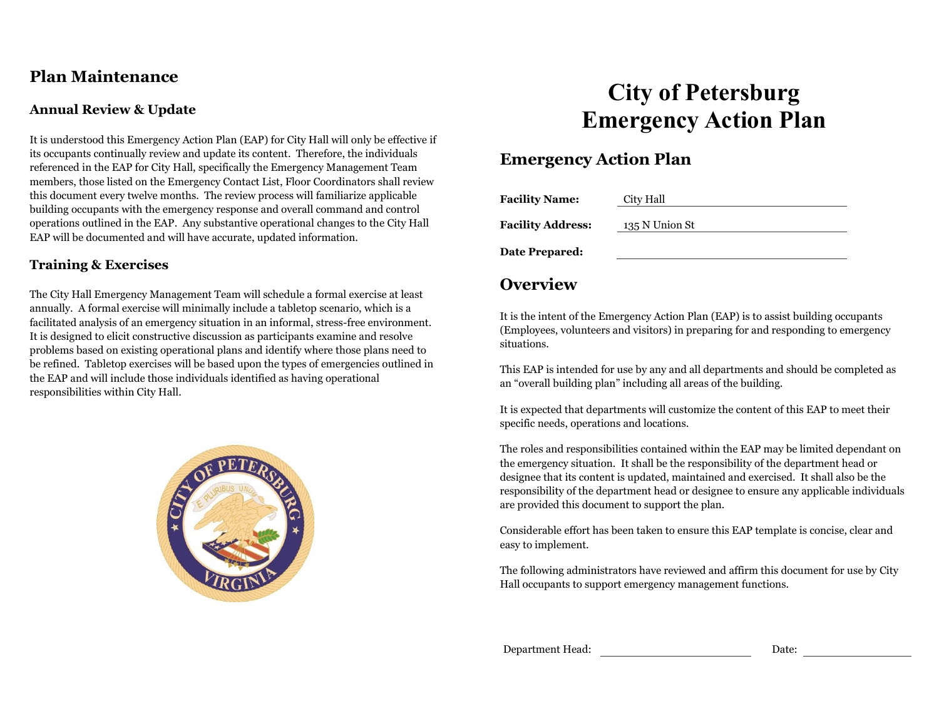## **Plan Maintenance**

### **Annual Review & Update**

It is understood this Emergency Action Plan (EAP) for City Hall will only be effective if its occupants continually review and update its content. Therefore, the individuals referenced in the EAP for City Hall, specifically the Emergency Management Team members, those listed on the Emergency Contact List, Floor Coordinators shall review this document every twelve months. The review process will familiarize applicable building occupants with the emergency response and overall command and control operations outlined in the EAP. Any substantive operational changes to the City Hall EAP will be documented and will have accurate, updated information.

## **Training & Exercises**

The City Hall Emergency Management Team will schedule a formal exercise at least annually. A formal exercise will minimally include a tabletop scenario, which is a facilitated analysis of an emergency situation in an informal, stress-free environment. It is designed to elicit constructive discussion as participants examine and resolve problems based on existing operational plans and identify where those plans need to be refined. Tabletop exercises will be based upon the types of emergencies outlined in the EAP and will include those individuals identified as having operational responsibilities within City Hall.



# **City of Petersburg Emergency Action Plan**

## **Emergency Action Plan**

| <b>Facility Name:</b>    | City Hall      |
|--------------------------|----------------|
| <b>Facility Address:</b> | 135 N Union St |
| Date Prepared:           |                |

## **Overview**

It is the intent of the Emergency Action Plan (EAP) is to assist building occupants (Employees, volunteers and visitors) in preparing for and responding to emergency situations.

This EAP is intended for use by any and all departments and should be completed as an "overall building plan" including all areas of the building.

It is expected that departments will customize the content of this EAP to meet their specific needs, operations and locations.

The roles and responsibilities contained within the EAP may be limited dependant on the emergency situation. It shall be the responsibility of the department head or designee that its content is updated, maintained and exercised. It shall also be the responsibility of the department head or designee to ensure any applicable individuals are provided this document to support the plan.

Considerable effort has been taken to ensure this EAP template is concise, clear and easy to implement.

The following administrators have reviewed and affirm this document for use by City Hall occupants to support emergency management functions.

Department Head: Date: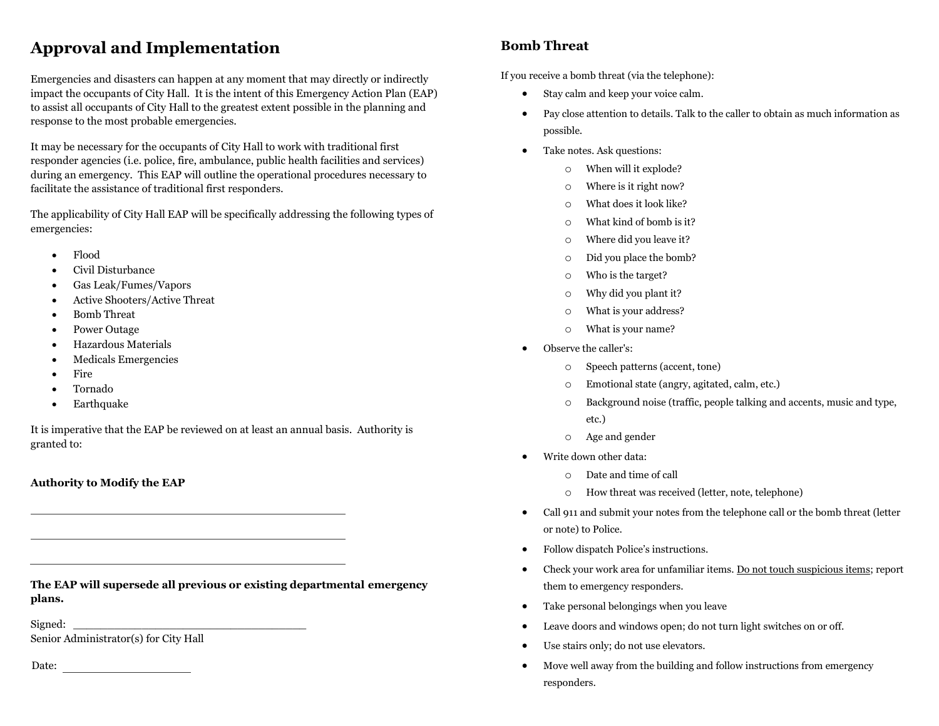## **Approval and Implementation**

Emergencies and disasters can happen at any moment that may directly or indirectly impact the occupants of City Hall. It is the intent of this Emergency Action Plan (EAP) to assist all occupants of City Hall to the greatest extent possible in the planning and response to the most probable emergencies.

It may be necessary for the occupants of City Hall to work with traditional first responder agencies (i.e. police, fire, ambulance, public health facilities and services) during an emergency. This EAP will outline the operational procedures necessary to facilitate the assistance of traditional first responders.

The applicability of City Hall EAP will be specifically addressing the following types of emergencies:

- Flood
- Civil Disturbance
- Gas Leak/Fumes/Vapors
- Active Shooters/Active Threat
- Bomb Threat
- Power Outage
- Hazardous Materials
- Medicals Emergencies
- Fire
- Tornado
- Earthquake

It is imperative that the EAP be reviewed on at least an annual basis. Authority is granted to:

#### **Authority to Modify the EAP**

**The EAP will supersede all previous or existing departmental emergency plans.**

 ${\bf Signal:} \begin{tabular}{|l|l|} \hline \hline \multicolumn{1}{|l|}{33} \multicolumn{1}{|l|}{53} \multicolumn{1}{|l|}{53} \multicolumn{1}{|l|}{53} \multicolumn{1}{|l|}{53} \multicolumn{1}{|l|}{53} \multicolumn{1}{|l|}{53} \multicolumn{1}{|l|}{53} \multicolumn{1}{|l|}{53} \multicolumn{1}{|l|}{53} \multicolumn{1}{|l|}{53} \multicolumn{1}{|l|}{53} \multicolumn{1}{|l|}{53} \multicolumn{1}{|l|}{53} \$ 

Senior Administrator(s) for City Hall

Date: **Date: Date: Date: Date: Date: Date: Date: Date: Date: Date: Date: Date: Date: Date: Date: Date: Date: Date: Date: Date: Date: Date: Date: Date: Date: Date: Date:**

## **Bomb Threat**

If you receive a bomb threat (via the telephone):

- Stay calm and keep your voice calm.
- Pay close attention to details. Talk to the caller to obtain as much information as possible.
- Take notes. Ask questions:
	- o When will it explode?
	- o Where is it right now?
	- o What does it look like?
	- o What kind of bomb is it?
	- o Where did you leave it?
	- o Did you place the bomb?
	- o Who is the target?
	- o Why did you plant it?
	- o What is your address?
	- o What is your name?
- Observe the caller's:
	- o Speech patterns (accent, tone)
	- o Emotional state (angry, agitated, calm, etc.)
	- o Background noise (traffic, people talking and accents, music and type, etc.)
	- o Age and gender
- Write down other data:
	- o Date and time of call
	- o How threat was received (letter, note, telephone)
- Call 911 and submit your notes from the telephone call or the bomb threat (letter or note) to Police.
- Follow dispatch Police's instructions.
- Check your work area for unfamiliar items. Do not touch suspicious items; report them to emergency responders.
- Take personal belongings when you leave
- Leave doors and windows open; do not turn light switches on or off.
- Use stairs only; do not use elevators.
- Move well away from the building and follow instructions from emergency responders.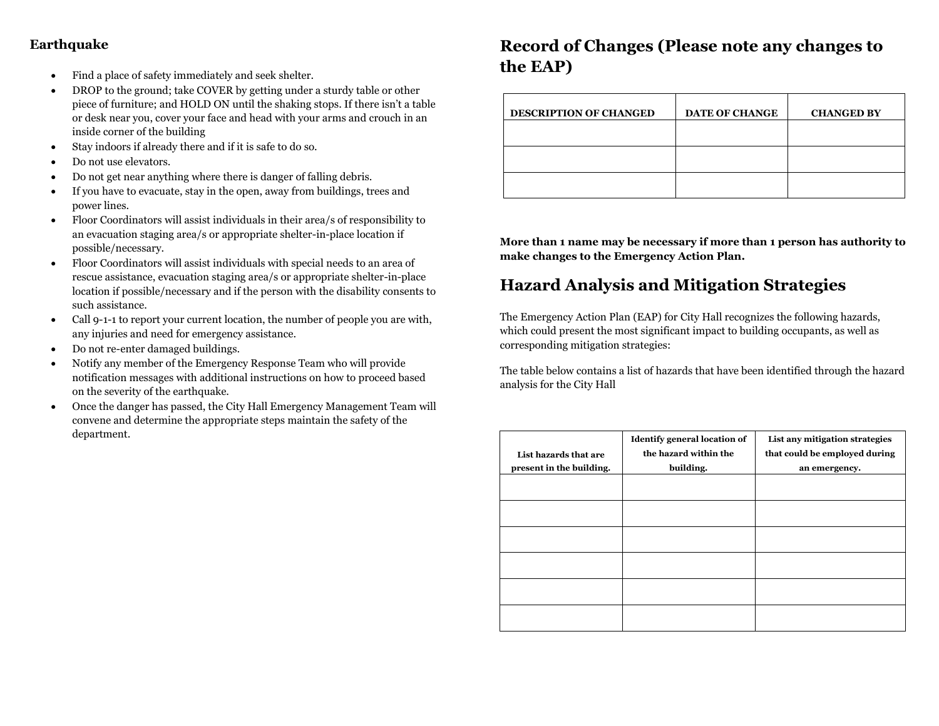## **Earthquake**

- Find a place of safety immediately and seek shelter.
- DROP to the ground; take COVER by getting under a sturdy table or other piece of furniture; and HOLD ON until the shaking stops. If there isn't a table or desk near you, cover your face and head with your arms and crouch in an inside corner of the building
- Stay indoors if already there and if it is safe to do so.
- Do not use elevators.
- Do not get near anything where there is danger of falling debris.
- If you have to evacuate, stay in the open, away from buildings, trees and power lines.
- Floor Coordinators will assist individuals in their area/s of responsibility to an evacuation staging area/s or appropriate shelter-in-place location if possible/necessary.
- Floor Coordinators will assist individuals with special needs to an area of rescue assistance, evacuation staging area/s or appropriate shelter-in-place location if possible/necessary and if the person with the disability consents to such assistance.
- Call 9-1-1 to report your current location, the number of people you are with, any injuries and need for emergency assistance.
- Do not re-enter damaged buildings.
- Notify any member of the Emergency Response Team who will provide notification messages with additional instructions on how to proceed based on the severity of the earthquake.
- Once the danger has passed, the City Hall Emergency Management Team will convene and determine the appropriate steps maintain the safety of the department.

## **Record of Changes (Please note any changes to the EAP)**

| <b>DESCRIPTION OF CHANGED</b> | <b>DATE OF CHANGE</b> | <b>CHANGED BY</b> |
|-------------------------------|-----------------------|-------------------|
|                               |                       |                   |
|                               |                       |                   |
|                               |                       |                   |

**More than 1 name may be necessary if more than 1 person has authority to make changes to the Emergency Action Plan.** 

## **Hazard Analysis and Mitigation Strategies**

The Emergency Action Plan (EAP) for City Hall recognizes the following hazards, which could present the most significant impact to building occupants, as well as corresponding mitigation strategies:

The table below contains a list of hazards that have been identified through the hazard analysis for the City Hall

| List hazards that are<br>present in the building. | <b>Identify general location of</b><br>the hazard within the<br>building. | List any mitigation strategies<br>that could be employed during<br>an emergency. |
|---------------------------------------------------|---------------------------------------------------------------------------|----------------------------------------------------------------------------------|
|                                                   |                                                                           |                                                                                  |
|                                                   |                                                                           |                                                                                  |
|                                                   |                                                                           |                                                                                  |
|                                                   |                                                                           |                                                                                  |
|                                                   |                                                                           |                                                                                  |
|                                                   |                                                                           |                                                                                  |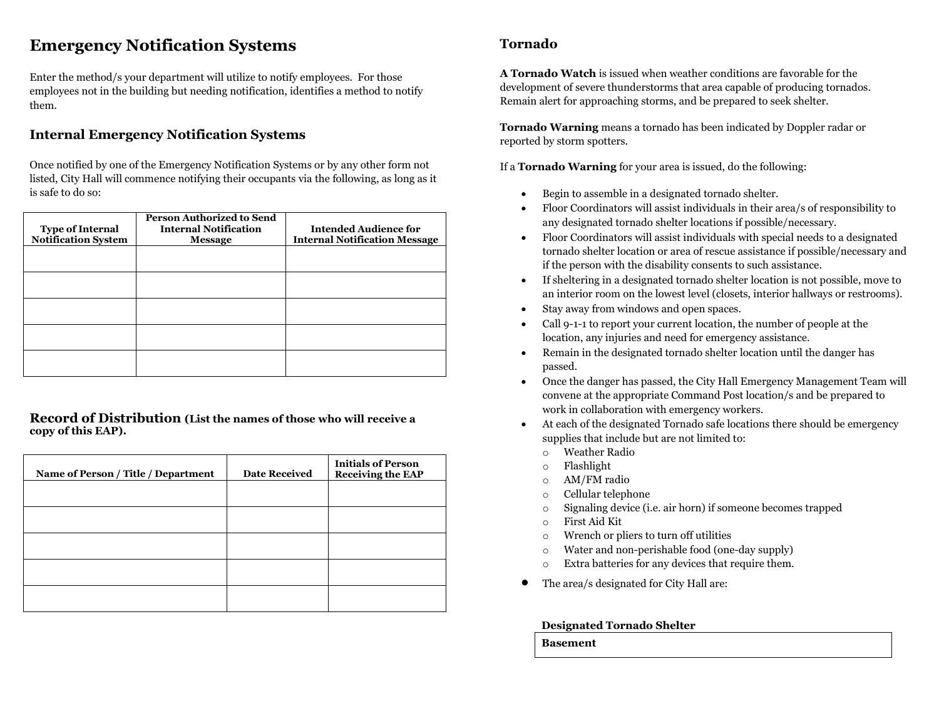## **Emergency Notification Systems**

Enter the method/s your department will utilize to notify employees. For those employees not in the building but needing notification, identifies a method to notify them.

## **Internal Emergency Notification Systems**

Once notified by one of the Emergency Notification Systems or by any other form not listed, City Hall will commence notifying their occupants via the following, as long as it is safe to do so:

| <b>Type of Internal</b><br><b>Notification System</b> | <b>Person Authorized to Send</b><br><b>Internal Notification</b><br><b>Message</b> | <b>Intended Audience for</b><br><b>Internal Notification Message</b> |
|-------------------------------------------------------|------------------------------------------------------------------------------------|----------------------------------------------------------------------|
|                                                       |                                                                                    |                                                                      |
|                                                       |                                                                                    |                                                                      |
|                                                       |                                                                                    |                                                                      |
|                                                       |                                                                                    |                                                                      |
|                                                       |                                                                                    |                                                                      |

**Record of Distribution (List the names of those who will receive a copy of this EAP).**

| Name of Person / Title / Department | <b>Date Received</b> | <b>Initials of Person</b><br><b>Receiving the EAP</b> |
|-------------------------------------|----------------------|-------------------------------------------------------|
|                                     |                      |                                                       |
|                                     |                      |                                                       |
|                                     |                      |                                                       |
|                                     |                      |                                                       |
|                                     |                      |                                                       |

### **Tornado**

**A Tornado Watch** is issued when weather conditions are favorable for the development of severe thunderstorms that area capable of producing tornados. Remain alert for approaching storms, and be prepared to seek shelter.

**Tornado Warning** means a tornado has been indicated by Doppler radar or reported by storm spotters.

If a **Tornado Warning** for your area is issued, do the following:

- Begin to assemble in a designated tornado shelter.
- Floor Coordinators will assist individuals in their area/s of responsibility to any designated tornado shelter locations if possible/necessary.
- Floor Coordinators will assist individuals with special needs to a designated tornado shelter location or area of rescue assistance if possible/necessary and if the person with the disability consents to such assistance.
- If sheltering in a designated tornado shelter location is not possible, move to an interior room on the lowest level (closets, interior hallways or restrooms).
- Stay away from windows and open spaces.
- Call 9-1-1 to report your current location, the number of people at the location, any injuries and need for emergency assistance.
- Remain in the designated tornado shelter location until the danger has passed.
- Once the danger has passed, the City Hall Emergency Management Team will convene at the appropriate Command Post location/s and be prepared to work in collaboration with emergency workers.
- At each of the designated Tornado safe locations there should be emergency supplies that include but are not limited to:
	- o Weather Radio
	- o Flashlight
	- o AM/FM radio
	- o Cellular telephone
	- o Signaling device (i.e. air horn) if someone becomes trapped
	- o First Aid Kit
	- o Wrench or pliers to turn off utilities
	- o Water and non-perishable food (one-day supply)
	- o Extra batteries for any devices that require them.
- The area/s designated for City Hall are:

#### **Designated Tornado Shelter**

**Basement**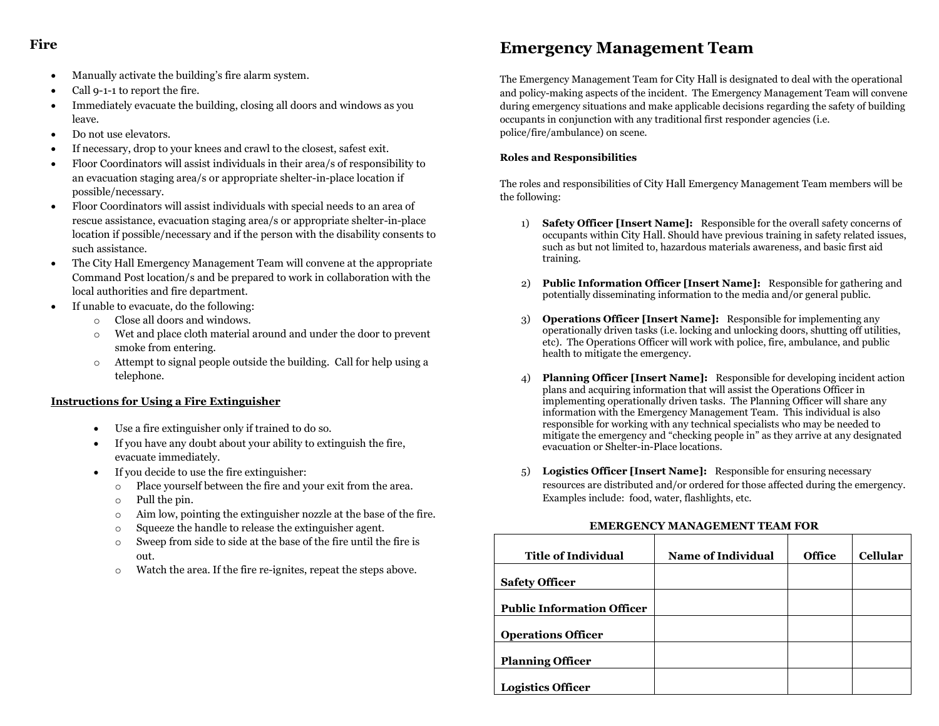### **Fire**

- Manually activate the building's fire alarm system.
- Call 9-1-1 to report the fire.
- Immediately evacuate the building, closing all doors and windows as you leave.
- Do not use elevators.
- If necessary, drop to your knees and crawl to the closest, safest exit.
- Floor Coordinators will assist individuals in their area/s of responsibility to an evacuation staging area/s or appropriate shelter-in-place location if possible/necessary.
- Floor Coordinators will assist individuals with special needs to an area of rescue assistance, evacuation staging area/s or appropriate shelter-in-place location if possible/necessary and if the person with the disability consents to such assistance.
- The City Hall Emergency Management Team will convene at the appropriate Command Post location/s and be prepared to work in collaboration with the local authorities and fire department.
- If unable to evacuate, do the following:
	- o Close all doors and windows.
	- o Wet and place cloth material around and under the door to prevent smoke from entering.
	- o Attempt to signal people outside the building. Call for help using a telephone.

#### **Instructions for Using a Fire Extinguisher**

- Use a fire extinguisher only if trained to do so.
- If you have any doubt about your ability to extinguish the fire, evacuate immediately.
- If you decide to use the fire extinguisher:
	- o Place yourself between the fire and your exit from the area.
	- o Pull the pin.
	- o Aim low, pointing the extinguisher nozzle at the base of the fire.
	- o Squeeze the handle to release the extinguisher agent.
	- o Sweep from side to side at the base of the fire until the fire is out.
	- o Watch the area. If the fire re-ignites, repeat the steps above.

## **Emergency Management Team**

The Emergency Management Team for City Hall is designated to deal with the operational and policy-making aspects of the incident. The Emergency Management Team will convene during emergency situations and make applicable decisions regarding the safety of building occupants in conjunction with any traditional first responder agencies (i.e. police/fire/ambulance) on scene.

#### **Roles and Responsibilities**

The roles and responsibilities of City Hall Emergency Management Team members will be the following:

- 1) **Safety Officer [Insert Name]:** Responsible for the overall safety concerns of occupants within City Hall. Should have previous training in safety related issues, such as but not limited to, hazardous materials awareness, and basic first aid training.
- 2) **Public Information Officer [Insert Name]:** Responsible for gathering and potentially disseminating information to the media and/or general public.
- 3) **Operations Officer [Insert Name]:** Responsible for implementing any operationally driven tasks (i.e. locking and unlocking doors, shutting off utilities, etc). The Operations Officer will work with police, fire, ambulance, and public health to mitigate the emergency.
- 4) **Planning Officer [Insert Name]:** Responsible for developing incident action plans and acquiring information that will assist the Operations Officer in implementing operationally driven tasks. The Planning Officer will share any information with the Emergency Management Team. This individual is also responsible for working with any technical specialists who may be needed to mitigate the emergency and "checking people in" as they arrive at any designated evacuation or Shelter-in-Place locations.
- 5) **Logistics Officer [Insert Name]:** Responsible for ensuring necessary resources are distributed and/or ordered for those affected during the emergency. Examples include: food, water, flashlights, etc.

#### **EMERGENCY MANAGEMENT TEAM FOR**

| <b>Title of Individual</b>        | <b>Name of Individual</b> | <b>Office</b> | <b>Cellular</b> |
|-----------------------------------|---------------------------|---------------|-----------------|
| <b>Safety Officer</b>             |                           |               |                 |
| <b>Public Information Officer</b> |                           |               |                 |
|                                   |                           |               |                 |
| <b>Operations Officer</b>         |                           |               |                 |
| <b>Planning Officer</b>           |                           |               |                 |
| <b>Logistics Officer</b>          |                           |               |                 |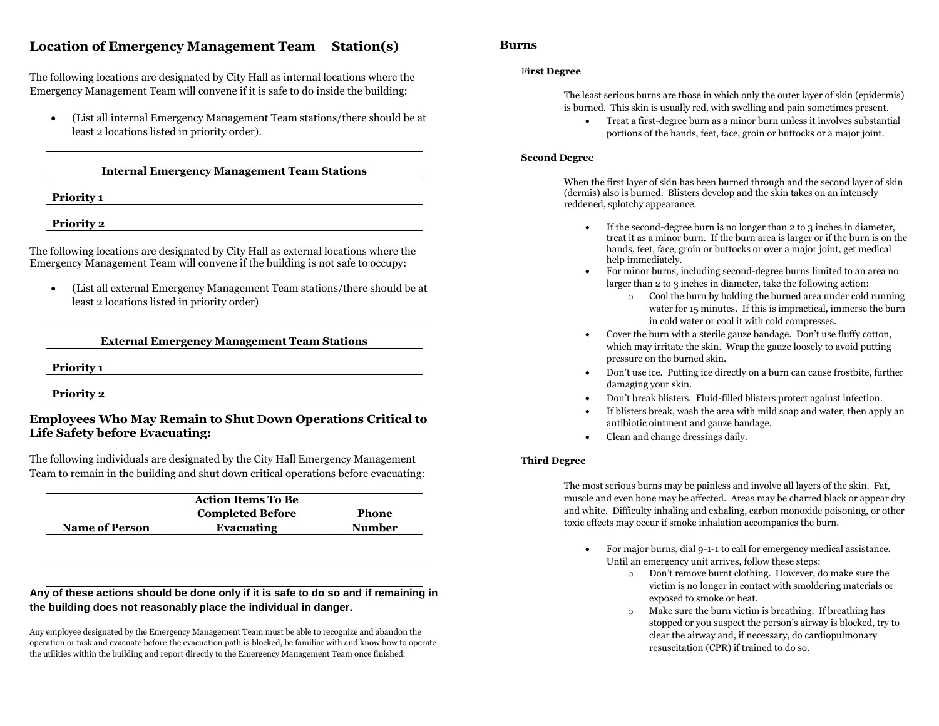## **Location of Emergency Management Team Station(s)**

The following locations are designated by City Hall as internal locations where the Emergency Management Team will convene if it is safe to do inside the building:

 (List all internal Emergency Management Team stations/there should be at least 2 locations listed in priority order).

| <b>Internal Emergency Management Team Stations</b> |  |
|----------------------------------------------------|--|
| <b>Priority 1</b>                                  |  |
|                                                    |  |

The following locations are designated by City Hall as external locations where the Emergency Management Team will convene if the building is not safe to occupy:

**Priority 2** 

 (List all external Emergency Management Team stations/there should be at least 2 locations listed in priority order)

| <b>External Emergency Management Team Stations</b> |  |
|----------------------------------------------------|--|
| <b>Priority 1</b>                                  |  |
| <b>Priority 2</b>                                  |  |

#### **Employees Who May Remain to Shut Down Operations Critical to Life Safety before Evacuating:**

The following individuals are designated by the City Hall Emergency Management Team to remain in the building and shut down critical operations before evacuating:

|                       | <b>Action Items To Be</b><br><b>Completed Before</b> | Phone         |
|-----------------------|------------------------------------------------------|---------------|
| <b>Name of Person</b> | Evacuating                                           | <b>Number</b> |
|                       |                                                      |               |
|                       |                                                      |               |
|                       |                                                      |               |
|                       |                                                      |               |

#### **Any of these actions should be done only if it is safe to do so and if remaining in the building does not reasonably place the individual in danger.**

Any employee designated by the Emergency Management Team must be able to recognize and abandon the operation or task and evacuate before the evacuation path is blocked, be familiar with and know how to operate the utilities within the building and report directly to the Emergency Management Team once finished.

#### **Burns**

#### F**irst Degree**

The least serious burns are those in which only the outer layer of skin (epidermis) is burned. This skin is usually red, with swelling and pain sometimes present.

 Treat a first-degree burn as a minor burn unless it involves substantial portions of the hands, feet, face, groin or buttocks or a major joint.

#### **Second Degree**

When the first layer of skin has been burned through and the second layer of skin (dermis) also is burned. Blisters develop and the skin takes on an intensely reddened, splotchy appearance.

- If the second-degree burn is no longer than 2 to 3 inches in diameter, treat it as a minor burn. If the burn area is larger or if the burn is on the hands, feet, face, groin or buttocks or over a major joint, get medical help immediately.
- For minor burns, including second-degree burns limited to an area no larger than 2 to 3 inches in diameter, take the following action:
	- o Cool the burn by holding the burned area under cold running water for 15 minutes. If this is impractical, immerse the burn in cold water or cool it with cold compresses.
- Cover the burn with a sterile gauze bandage. Don't use fluffy cotton, which may irritate the skin. Wrap the gauze loosely to avoid putting pressure on the burned skin.
- Don't use ice. Putting ice directly on a burn can cause frostbite, further damaging your skin.
- Don't break blisters. Fluid-filled blisters protect against infection.
- If blisters break, wash the area with mild soap and water, then apply an antibiotic ointment and gauze bandage.
- Clean and change dressings daily.

#### **Third Degree**

The most serious burns may be painless and involve all layers of the skin. Fat, muscle and even bone may be affected. Areas may be charred black or appear dry and white. Difficulty inhaling and exhaling, carbon monoxide poisoning, or other toxic effects may occur if smoke inhalation accompanies the burn.

- For major burns, dial 9-1-1 to call for emergency medical assistance. Until an emergency unit arrives, follow these steps:
	- o Don't remove burnt clothing. However, do make sure the victim is no longer in contact with smoldering materials or exposed to smoke or heat.
	- o Make sure the burn victim is breathing. If breathing has stopped or you suspect the person's airway is blocked, try to clear the airway and, if necessary, do cardiopulmonary resuscitation (CPR) if trained to do so.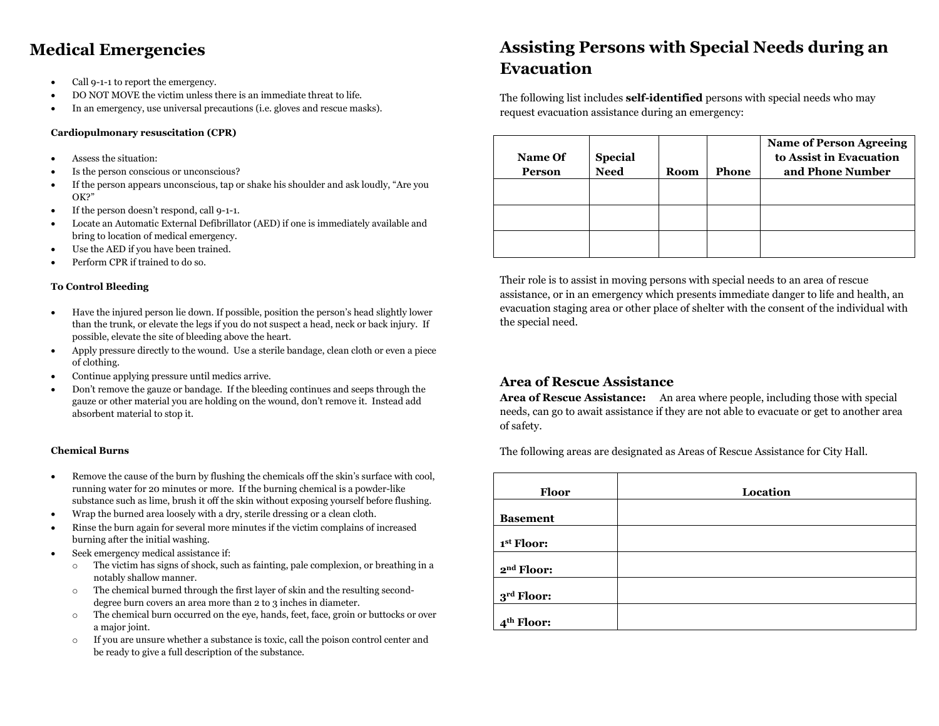## **Medical Emergencies**

- Call 9-1-1 to report the emergency.
- DO NOT MOVE the victim unless there is an immediate threat to life.
- In an emergency, use universal precautions (i.e. gloves and rescue masks).

#### **Cardiopulmonary resuscitation (CPR)**

- Assess the situation:
- Is the person conscious or unconscious?
- If the person appears unconscious, tap or shake his shoulder and ask loudly, "Are you OK?"
- If the person doesn't respond, call 9-1-1.
- Locate an Automatic External Defibrillator (AED) if one is immediately available and bring to location of medical emergency.
- Use the AED if you have been trained.
- Perform CPR if trained to do so.

#### **To Control Bleeding**

- Have the injured person lie down. If possible, position the person's head slightly lower than the trunk, or elevate the legs if you do not suspect a head, neck or back injury. If possible, elevate the site of bleeding above the heart.
- Apply pressure directly to the wound. Use a sterile bandage, clean cloth or even a piece of clothing.
- Continue applying pressure until medics arrive.
- Don't remove the gauze or bandage. If the bleeding continues and seeps through the gauze or other material you are holding on the wound, don't remove it. Instead add absorbent material to stop it.

#### **Chemical Burns**

- Remove the cause of the burn by flushing the chemicals off the skin's surface with cool, running water for 20 minutes or more. If the burning chemical is a powder-like substance such as lime, brush it off the skin without exposing yourself before flushing.
- Wrap the burned area loosely with a dry, sterile dressing or a clean cloth.
- Rinse the burn again for several more minutes if the victim complains of increased burning after the initial washing.
- Seek emergency medical assistance if:
	- o The victim has signs of shock, such as fainting, pale complexion, or breathing in a notably shallow manner.
	- o The chemical burned through the first layer of skin and the resulting seconddegree burn covers an area more than 2 to 3 inches in diameter.
	- o The chemical burn occurred on the eye, hands, feet, face, groin or buttocks or over a major joint.
	- o If you are unsure whether a substance is toxic, call the poison control center and be ready to give a full description of the substance.

## **Assisting Persons with Special Needs during an Evacuation**

The following list includes **self-identified** persons with special needs who may request evacuation assistance during an emergency:

| Name Of<br><b>Person</b> | <b>Special</b><br>Need | <b>Room</b> | Phone | <b>Name of Person Agreeing</b><br>to Assist in Evacuation<br>and Phone Number |
|--------------------------|------------------------|-------------|-------|-------------------------------------------------------------------------------|
|                          |                        |             |       |                                                                               |
|                          |                        |             |       |                                                                               |
|                          |                        |             |       |                                                                               |

Their role is to assist in moving persons with special needs to an area of rescue assistance, or in an emergency which presents immediate danger to life and health, an evacuation staging area or other place of shelter with the consent of the individual with the special need.

### **Area of Rescue Assistance**

**Area of Rescue Assistance:** An area where people, including those with special needs, can go to await assistance if they are not able to evacuate or get to another area of safety.

The following areas are designated as Areas of Rescue Assistance for City Hall.

| <b>Floor</b>           | Location |
|------------------------|----------|
| <b>Basement</b>        |          |
| 1st Floor:             |          |
| 2 <sup>nd</sup> Floor: |          |
| 3 <sup>rd</sup> Floor: |          |
| 4 <sup>th</sup> Floor: |          |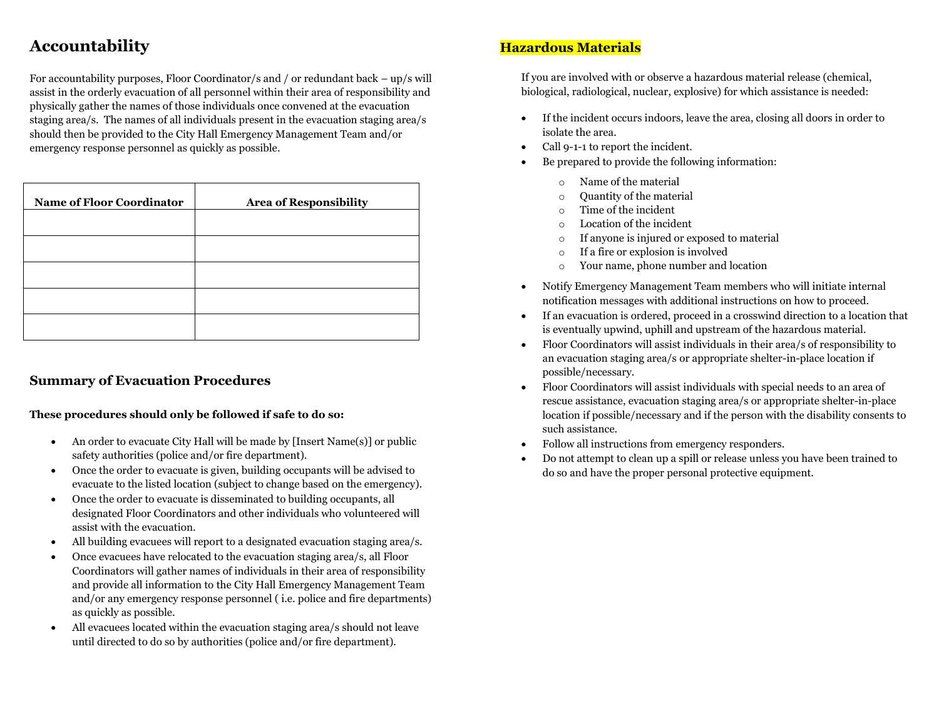## **Accountability**

For accountability purposes, Floor Coordinator/s and / or redundant back – up/s will assist in the orderly evacuation of all personnel within their area of responsibility and physically gather the names of those individuals once convened at the evacuation staging area/s. The names of all individuals present in the evacuation staging area/s should then be provided to the City Hall Emergency Management Team and/or emergency response personnel as quickly as possible.

| <b>Name of Floor Coordinator</b> | <b>Area of Responsibility</b> |
|----------------------------------|-------------------------------|
|                                  |                               |
|                                  |                               |
|                                  |                               |
|                                  |                               |
|                                  |                               |

### **Summary of Evacuation Procedures**

#### **These procedures should only be followed if safe to do so:**

- An order to evacuate City Hall will be made by [Insert Name(s)] or public safety authorities (police and/or fire department).
- Once the order to evacuate is given, building occupants will be advised to evacuate to the listed location (subject to change based on the emergency).
- Once the order to evacuate is disseminated to building occupants, all designated Floor Coordinators and other individuals who volunteered will assist with the evacuation.
- All building evacuees will report to a designated evacuation staging area/s.
- Once evacuees have relocated to the evacuation staging area/s, all Floor Coordinators will gather names of individuals in their area of responsibility and provide all information to the City Hall Emergency Management Team and/or any emergency response personnel ( i.e. police and fire departments) as quickly as possible.
- All evacuees located within the evacuation staging area/s should not leave until directed to do so by authorities (police and/or fire department).

## **Hazardous Materials**

If you are involved with or observe a hazardous material release (chemical, biological, radiological, nuclear, explosive) for which assistance is needed:

- If the incident occurs indoors, leave the area, closing all doors in order to isolate the area.
- Call 9-1-1 to report the incident.
- Be prepared to provide the following information:
	- o Name of the material
	- o Quantity of the material
	- o Time of the incident
	- o Location of the incident
	- o If anyone is injured or exposed to material
	- o If a fire or explosion is involved
	- o Your name, phone number and location
- Notify Emergency Management Team members who will initiate internal notification messages with additional instructions on how to proceed.
- If an evacuation is ordered, proceed in a crosswind direction to a location that is eventually upwind, uphill and upstream of the hazardous material.
- Floor Coordinators will assist individuals in their area/s of responsibility to an evacuation staging area/s or appropriate shelter-in-place location if possible/necessary.
- Floor Coordinators will assist individuals with special needs to an area of rescue assistance, evacuation staging area/s or appropriate shelter-in-place location if possible/necessary and if the person with the disability consents to such assistance.
- Follow all instructions from emergency responders.
- Do not attempt to clean up a spill or release unless you have been trained to do so and have the proper personal protective equipment.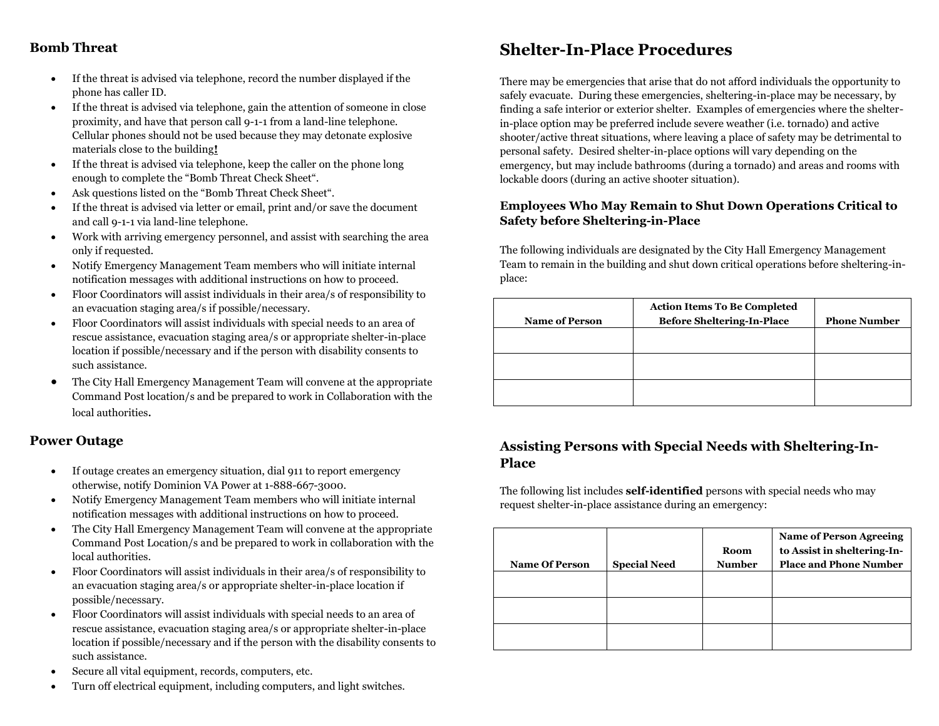### **Bomb Threat**

- If the threat is advised via telephone, record the number displayed if the phone has caller ID.
- If the threat is advised via telephone, gain the attention of someone in close proximity, and have that person call 9-1-1 from a land-line telephone. Cellular phones should not be used because they may detonate explosive materials close to the building**!**
- If the threat is advised via telephone, keep the caller on the phone long enough to complete the "Bomb Threat Check Sheet".
- Ask questions listed on the "Bomb Threat Check Sheet".
- If the threat is advised via letter or email, print and/or save the document and call 9-1-1 via land-line telephone.
- Work with arriving emergency personnel, and assist with searching the area only if requested.
- Notify Emergency Management Team members who will initiate internal notification messages with additional instructions on how to proceed.
- Floor Coordinators will assist individuals in their area/s of responsibility to an evacuation staging area/s if possible/necessary.
- Floor Coordinators will assist individuals with special needs to an area of rescue assistance, evacuation staging area/s or appropriate shelter-in-place location if possible/necessary and if the person with disability consents to such assistance.
- The City Hall Emergency Management Team will convene at the appropriate Command Post location/s and be prepared to work in Collaboration with the local authorities.

### **Power Outage**

- If outage creates an emergency situation, dial 911 to report emergency otherwise, notify Dominion VA Power at 1-888-667-3000.
- Notify Emergency Management Team members who will initiate internal notification messages with additional instructions on how to proceed.
- The City Hall Emergency Management Team will convene at the appropriate Command Post Location/s and be prepared to work in collaboration with the local authorities.
- Floor Coordinators will assist individuals in their area/s of responsibility to an evacuation staging area/s or appropriate shelter-in-place location if possible/necessary.
- Floor Coordinators will assist individuals with special needs to an area of rescue assistance, evacuation staging area/s or appropriate shelter-in-place location if possible/necessary and if the person with the disability consents to such assistance.
- Secure all vital equipment, records, computers, etc.
- Turn off electrical equipment, including computers, and light switches.

## **Shelter-In-Place Procedures**

There may be emergencies that arise that do not afford individuals the opportunity to safely evacuate. During these emergencies, sheltering-in-place may be necessary, by finding a safe interior or exterior shelter. Examples of emergencies where the shelterin-place option may be preferred include severe weather (i.e. tornado) and active shooter/active threat situations, where leaving a place of safety may be detrimental to personal safety. Desired shelter-in-place options will vary depending on the emergency, but may include bathrooms (during a tornado) and areas and rooms with lockable doors (during an active shooter situation).

### **Employees Who May Remain to Shut Down Operations Critical to Safety before Sheltering-in-Place**

The following individuals are designated by the City Hall Emergency Management Team to remain in the building and shut down critical operations before sheltering-inplace:

| <b>Name of Person</b> | <b>Action Items To Be Completed</b><br><b>Before Sheltering-In-Place</b> | <b>Phone Number</b> |
|-----------------------|--------------------------------------------------------------------------|---------------------|
|                       |                                                                          |                     |
|                       |                                                                          |                     |
|                       |                                                                          |                     |

## **Assisting Persons with Special Needs with Sheltering-In-Place**

The following list includes **self-identified** persons with special needs who may request shelter-in-place assistance during an emergency:

| <b>Name Of Person</b> | <b>Special Need</b> | <b>Room</b><br><b>Number</b> | <b>Name of Person Agreeing</b><br>to Assist in sheltering-In-<br><b>Place and Phone Number</b> |
|-----------------------|---------------------|------------------------------|------------------------------------------------------------------------------------------------|
|                       |                     |                              |                                                                                                |
|                       |                     |                              |                                                                                                |
|                       |                     |                              |                                                                                                |